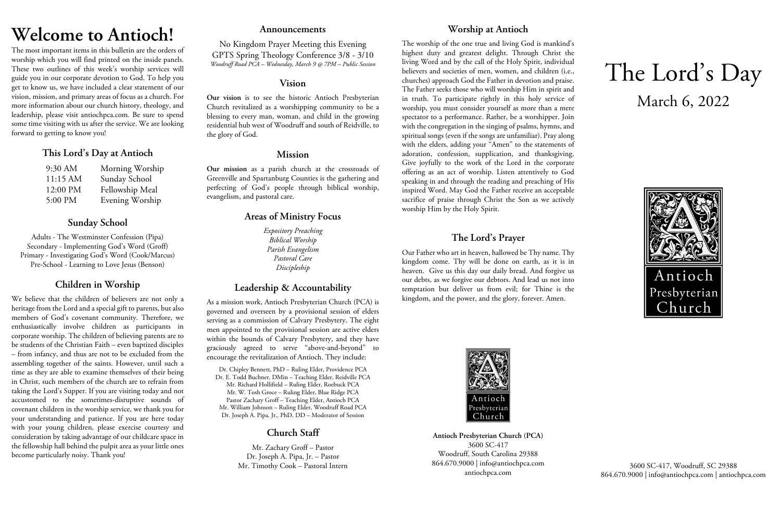# **Welcome to Antioch!**

The most important items in this bulletin are the orders of worship which you will find printed on the inside panels. These two outlines of this week's worship services will guide you in our corporate devotion to God. To help you get to know us, we have included a clear statement of our vision, mission, and primary areas of focus as a church. For more information about our church history, theology, and leadership, please visit antiochpca.com. Be sure to spend some time visiting with us after the service. We are looking forward to getting to know you!

## **This Lord's Day at Antioch**

| 9:30 AM  | Morning Worship |
|----------|-----------------|
| 11:15 AM | Sunday School   |
| 12:00 PM | Fellowship Meal |
| 5:00 PM  | Evening Worship |

# **Sunday School**

Adults - The Westminster Confession (Pipa) Secondary - Implementing God's Word (Groff) Primary - Investigating God's Word (Cook/Marcus) Pre-School - Learning to Love Jesus (Benson)

# **Children in Worship**

We believe that the children of believers are not only a heritage from the Lord and a special gift to parents, but also members of God's covenant community. Therefore, we enthusiastically involve children as participants in corporate worship. The children of believing parents are to be students of the Christian Faith – even baptized disciples – from infancy, and thus are not to be excluded from the assembling together of the saints. However, until such a time as they are able to examine themselves of their being in Christ, such members of the church are to refrain from taking the Lord's Supper. If you are visiting today and not accustomed to the sometimes-disruptive sounds of covenant children in the worship service, we thank you for your understanding and patience. If you are here today with your young children, please exercise courtesy and consideration by taking advantage of our childcare space in the fellowship hall behind the pulpit area as your little ones become particularly noisy. Thank you!

## **Announcements**

No Kingdom Prayer Meeting this Evening GPTS Spring Theology Conference 3/8 - 3/10 *Woodruff Road PCA – Wednesday, March 9 @ 7PM – Public Session*

## **Vision**

**Our vision** is to see the historic Antioch Presbyterian Church revitalized as a worshipping community to be a blessing to every man, woman, and child in the growing residential hub west of Woodruff and south of Reidville, to the glory of God.

## **Mission**

**Our mission** as a parish church at the crossroads of Greenville and Spartanburg Counties is the gathering and perfecting of God's people through biblical worship, evangelism, and pastoral care.

# **Areas of Ministry Focus**

*Expository Preaching Biblical Worship Parish Evangelism Pastoral Care Discipleship*

# **Leadership & Accountability**

As a mission work, Antioch Presbyterian Church (PCA) is governed and overseen by a provisional session of elders serving as a commission of Calvary Presbytery. The eight men appointed to the provisional session are active elders within the bounds of Calvary Presbytery, and they have graciously agreed to serve "above-and-beyond" to encourage the revitalization of Antioch. They include:

Dr. Chipley Bennett, PhD – Ruling Elder, Providence PCA Dr. E. Todd Buchner, DMin – Teaching Elder, Reidville PCA Mr. Richard Hollifield – Ruling Elder, Roebuck PCA Mr. W. Tosh Groce – Ruling Elder, Blue Ridge PCA Pastor Zachary Groff – Teaching Elder, Antioch PCA Mr. William Johnson – Ruling Elder, Woodruff Road PCA Dr. Joseph A. Pipa, Jr., PhD, DD – Moderator of Session

# **Church Staff**

Mr. Zachary Groff – Pastor Dr. Joseph A. Pipa, Jr. – Pastor Mr. Timothy Cook – Pastoral Intern

# **Worship at Antioch**

The worship of the one true and living God is mankind's highest duty and greatest delight. Through Christ the living Word and by the call of the Holy Spirit, individual believers and societies of men, women, and children (i.e., churches) approach God the Father in devotion and praise. The Father seeks those who will worship Him in spirit and in truth. To participate rightly in this holy service of worship, you must consider yourself as more than a mere spectator to a performance. Rather, be a worshipper. Join with the congregation in the singing of psalms, hymns, and spiritual songs (even if the songs are unfamiliar). Pray along with the elders, adding your "Amen" to the statements of adoration, confession, supplication, and thanksgiving. Give joyfully to the work of the Lord in the corporate offering as an act of worship. Listen attentively to God speaking in and through the reading and preaching of His inspired Word. May God the Father receive an acceptable sacrifice of praise through Christ the Son as we actively worship Him by the Holy Spirit.

# **The Lord's Prayer**

Our Father who art in heaven, hallowed be Thy name. Thy kingdom come. Thy will be done on earth, as it is in heaven. Give us this day our daily bread. And forgive us our debts, as we forgive our debtors. And lead us not into temptation but deliver us from evil; for Thine is the kingdom, and the power, and the glory, forever. Amen.



**Antioch Presbyterian Church (PCA)** 3600 SC-417 Woodruff, South Carolina 29388 864.670.9000 | info@antiochpca.com antiochpca.com

# The Lord's Day March 6, 2022



3600 SC-417, Woodruff, SC 29388 864.670.9000 | info@antiochpca.com | antiochpca.com